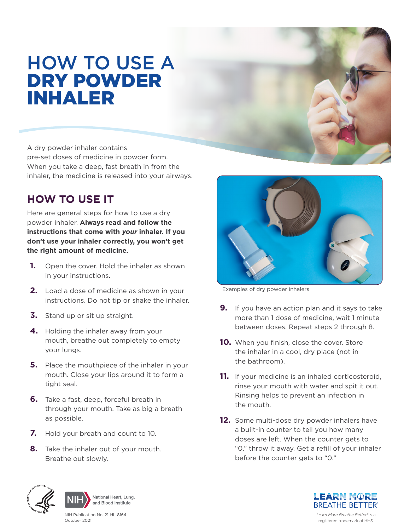# HOW TO USE A<br>**DRY POWDER** INHALER

A dry powder inhaler contains pre-set doses of medicine in powder form. When you take a deep, fast breath in from the inhaler, the medicine is released into your airways.

## **HOW TO USE IT**

Here are general steps for how to use a dry powder inhaler. **Always read and follow the instructions that come with** *your* **inhaler. If you don't use your inhaler correctly, you won't get the right amount of medicine.** 

- **1.** Open the cover. Hold the inhaler as shown in your instructions.
- **2.** Load a dose of medicine as shown in your instructions. Do not tip or shake the inhaler.
- **3.** Stand up or sit up straight.
- **4.** Holding the inhaler away from your mouth, breathe out completely to empty your lungs.
- **5.** Place the mouthpiece of the inhaler in your mouth. Close your lips around it to form a tight seal.
- **6.** Take a fast, deep, forceful breath in through your mouth. Take as big a breath as possible.
- **7.** Hold your breath and count to 10.
- **8.** Take the inhaler out of your mouth. Breathe out slowly.



Examples of dry powder inhalers

- **9.** If you have an action plan and it says to take more than 1 dose of medicine, wait 1 minute between doses. Repeat steps 2 through 8.
- **10.** When you finish, close the cover. Store the inhaler in a cool, dry place (not in the bathroom).
- **11.** If your medicine is an inhaled corticosteroid, rinse your mouth with water and spit it out. Rinsing helps to prevent an infection in the mouth.
- **12.** Some multi-dose dry powder inhalers have a built-in counter to tell you how many doses are left. When the counter gets to "0," throw it away. Get a refill of your inhaler before the counter gets to "0."





NIH Publication No. 21-HL-8164 October 2021

**LEARN MORE BREATHE BETTER®** 

*Learn More Breathe Better®* is a registered trademark of HHS.